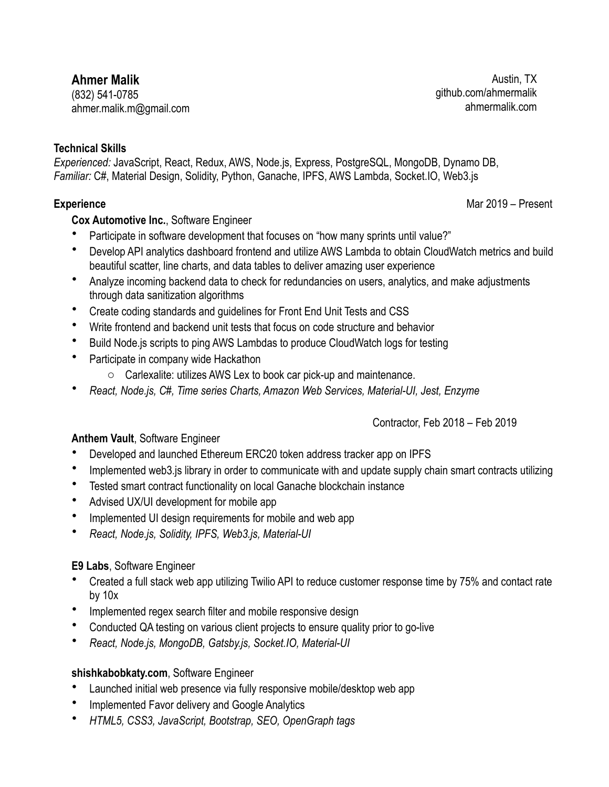# **Ahmer Malik**

(832) 541-0785 ahmer.malik.m@gmail.com

## **Technical Skills**

*Experienced:* JavaScript, React, Redux, AWS, Node.js, Express, PostgreSQL, MongoDB, Dynamo DB, *Familiar:* C#, Material Design, Solidity, Python, Ganache, IPFS, AWS Lambda, Socket.IO, Web3.js

# **Cox Automotive Inc.**, Software Engineer

- Participate in software development that focuses on "how many sprints until value?"
- Develop API analytics dashboard frontend and utilize AWS Lambda to obtain CloudWatch metrics and build beautiful scatter, line charts, and data tables to deliver amazing user experience
- Analyze incoming backend data to check for redundancies on users, analytics, and make adjustments through data sanitization algorithms
- Create coding standards and guidelines for Front End Unit Tests and CSS
- Write frontend and backend unit tests that focus on code structure and behavior
- Build Node.js scripts to ping AWS Lambdas to produce CloudWatch logs for testing
- Participate in company wide Hackathon
	- o Carlexalite: utilizes AWS Lex to book car pick-up and maintenance.
- *React, Node.js, C#, Time series Charts, Amazon Web Services, Material-UI, Jest, Enzyme*

### Contractor, Feb 2018 – Feb 2019

## **Anthem Vault**, Software Engineer

- Developed and launched Ethereum ERC20 token address tracker app on IPFS
- Implemented web3.js library in order to communicate with and update supply chain smart contracts utilizing
- Tested smart contract functionality on local Ganache blockchain instance
- Advised UX/UI development for mobile app
- Implemented UI design requirements for mobile and web app
- *React, Node.js, Solidity, IPFS, Web3.js, Material-UI*

## **E9 Labs**, Software Engineer

- Created a full stack web app utilizing Twilio API to reduce customer response time by 75% and contact rate by 10x
- Implemented regex search filter and mobile responsive design
- Conducted QA testing on various client projects to ensure quality prior to go-live
- *React, Node.js, MongoDB, Gatsby.js, Socket.IO, Material-UI*

### **shishkabobkaty.com**, Software Engineer

- Launched initial web presence via fully responsive mobile/desktop web app
- Implemented Favor delivery and Google Analytics
- *HTML5, CSS3, JavaScript, Bootstrap, SEO, OpenGraph tags*

Austin, TX github.com/ahmermalik ahmermalik.com

**Experience** Mar 2019 – Present